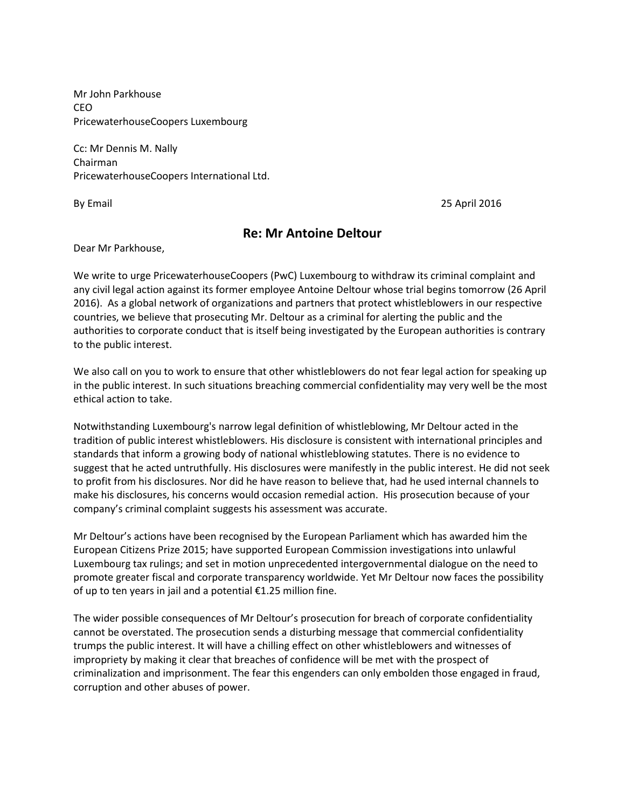Mr John Parkhouse CEO PricewaterhouseCoopers Luxembourg

Cc: Mr Dennis M. Nally Chairman PricewaterhouseCoopers International Ltd.

By Email 25 April 2016

## **Re: Mr Antoine Deltour**

Dear Mr Parkhouse,

We write to urge PricewaterhouseCoopers (PwC) Luxembourg to withdraw its criminal complaint and any civil legal action against its former employee Antoine Deltour whose trial begins tomorrow (26 April 2016). As a global network of organizations and partners that protect whistleblowers in our respective countries, we believe that prosecuting Mr. Deltour as a criminal for alerting the public and the authorities to corporate conduct that is itself being investigated by the European authorities is contrary to the public interest.

We also call on you to work to ensure that other whistleblowers do not fear legal action for speaking up in the public interest. In such situations breaching commercial confidentiality may very well be the most ethical action to take.

Notwithstanding Luxembourg's narrow legal definition of whistleblowing, Mr Deltour acted in the tradition of public interest whistleblowers. His disclosure is consistent with international principles and standards that inform a growing body of national whistleblowing statutes. There is no evidence to suggest that he acted untruthfully. His disclosures were manifestly in the public interest. He did not seek to profit from his disclosures. Nor did he have reason to believe that, had he used internal channels to make his disclosures, his concerns would occasion remedial action. His prosecution because of your company's criminal complaint suggests his assessment was accurate.

Mr Deltour's actions have been recognised by the European Parliament which has awarded him the European Citizens Prize 2015; have supported European Commission investigations into unlawful Luxembourg tax rulings; and set in motion unprecedented intergovernmental dialogue on the need to promote greater fiscal and corporate transparency worldwide. Yet Mr Deltour now faces the possibility of up to ten years in jail and a potential €1.25 million fine.

The wider possible consequences of Mr Deltour's prosecution for breach of corporate confidentiality cannot be overstated. The prosecution sends a disturbing message that commercial confidentiality trumps the public interest. It will have a chilling effect on other whistleblowers and witnesses of impropriety by making it clear that breaches of confidence will be met with the prospect of criminalization and imprisonment. The fear this engenders can only embolden those engaged in fraud, corruption and other abuses of power.